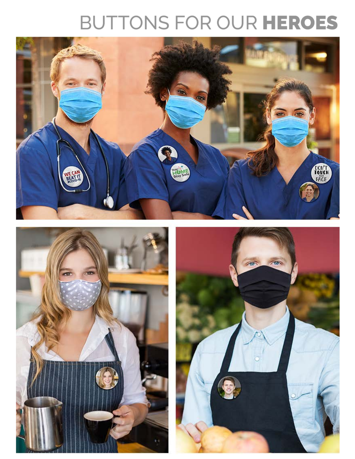## BUTTONS FOR OUR HEROES